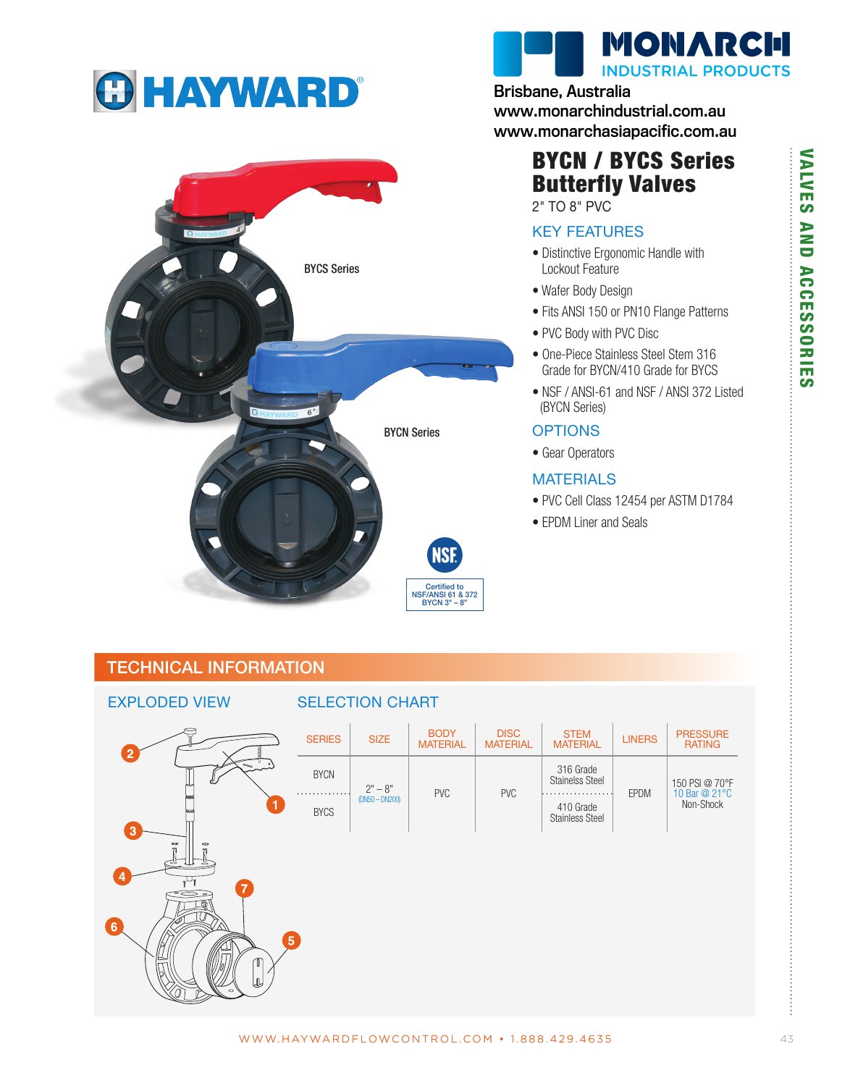





### Brisbane, Australia

www.monarchindustrial.com.au www.monarchasiapacific.com.au

# BYCN / BYCS Series Butterfly Valves

2" TO 8" PVC

### KEY FEATURES

- Distinctive Ergonomic Handle with Lockout Feature
- Wafer Body Design
- Fits ANSI 150 or PN10 Flange Patterns
- PVC Body with PVC Disc
- One-Piece Stainless Steel Stem 316 Grade for BYCN/410 Grade for BYCS
- NSF / ANSI-61 and NSF / ANSI 372 Listed (BYCN Series)

### **OPTIONS**

• Gear Operators

### MATERIALS

- PVC Cell Class 12454 per ASTM D1784
- EPDM Liner and Seals

## TECHNICAL INFORMATION



÷